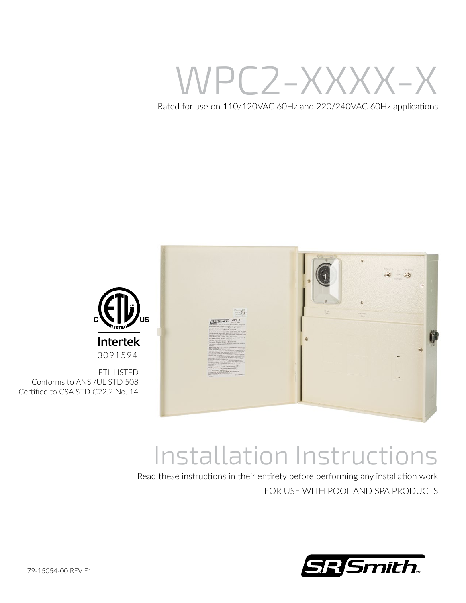WPC2-XXXX-X

Rated for use on 110/120VAC 60Hz and 220/240VAC 60Hz applications





Conforms to ANSI/UL STD 508 Certified to CSA STD C22.2 No. 14

# Installation Instructions

Read these instructions in their entirety before performing any installation work FOR USE WITH POOL AND SPA PRODUCTS

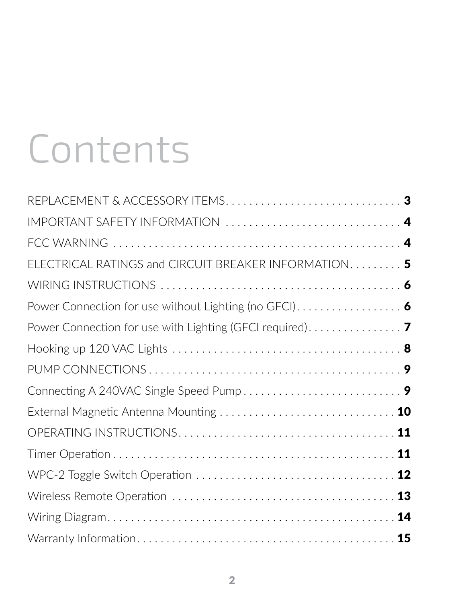# Contents

| IMPORTANT SAFETY INFORMATION  4                                                           |  |
|-------------------------------------------------------------------------------------------|--|
|                                                                                           |  |
| ELECTRICAL RATINGS and CIRCUIT BREAKER INFORMATION 5                                      |  |
|                                                                                           |  |
| Power Connection for use without Lighting (no GFCI). $\ldots \ldots \ldots \ldots \ldots$ |  |
|                                                                                           |  |
|                                                                                           |  |
|                                                                                           |  |
|                                                                                           |  |
|                                                                                           |  |
|                                                                                           |  |
|                                                                                           |  |
|                                                                                           |  |
|                                                                                           |  |
|                                                                                           |  |
|                                                                                           |  |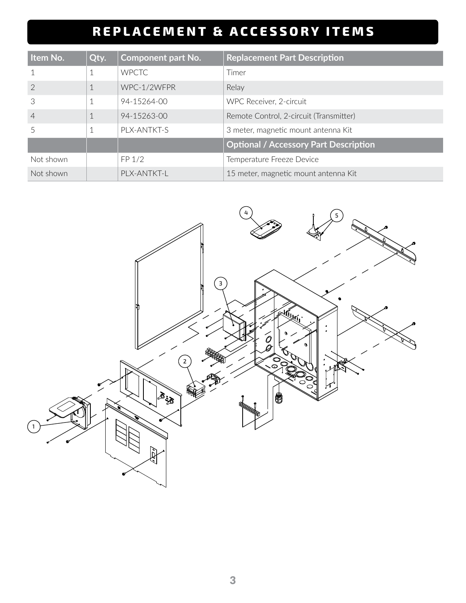## **REPLACEMENT & ACCESSORY ITEMS**

| Item No.       | Qty. | <b>Component part No.</b> | <b>Replacement Part Description</b>          |
|----------------|------|---------------------------|----------------------------------------------|
|                |      | <b>WPCTC</b>              | Timer                                        |
| $\overline{2}$ |      | WPC-1/2WFPR               | Relay                                        |
| 3              |      | 94-15264-00               | WPC Receiver, 2-circuit                      |
| $\overline{4}$ |      | 94-15263-00               | Remote Control, 2-circuit (Transmitter)      |
|                |      | PLX-ANTKT-S               | 3 meter, magnetic mount antenna Kit          |
|                |      |                           | <b>Optional / Accessory Part Description</b> |
| Not shown      |      | FP 1/2                    | Temperature Freeze Device                    |
| Not shown      |      | PLX-ANTKT-L               | 15 meter, magnetic mount antenna Kit         |

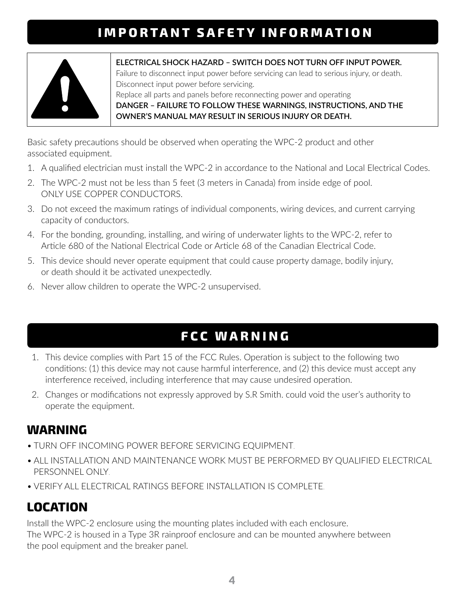## **IMPORTANT SAFETY INFORMATION**



**ELECTRICAL SHOCK HAZARD – SWITCH DOES NOT TURN OFF INPUT POWER.** Failure to disconnect input power before servicing can lead to serious injury, or death. Disconnect input power before servicing. Replace all parts and panels before reconnecting power and operating

**DANGER – FAILURE TO FOLLOW THESE WARNINGS, INSTRUCTIONS, AND THE OWNER'S MANUAL MAY RESULT IN SERIOUS INJURY OR DEATH.**

Basic safety precautions should be observed when operating the WPC-2 product and other associated equipment.

- 1. A qualified electrician must install the WPC-2 in accordance to the National and Local Electrical Codes.
- 2. The WPC-2 must not be less than 5 feet (3 meters in Canada) from inside edge of pool. ONLY USE COPPER CONDUCTORS.
- 3. Do not exceed the maximum ratings of individual components, wiring devices, and current carrying capacity of conductors.
- 4. For the bonding, grounding, installing, and wiring of underwater lights to the WPC-2, refer to Article 680 of the National Electrical Code or Article 68 of the Canadian Electrical Code.
- 5. This device should never operate equipment that could cause property damage, bodily injury, or death should it be activated unexpectedly.
- 6. Never allow children to operate the WPC-2 unsupervised.

## **FCC WARNING**

- 1. This device complies with Part 15 of the FCC Rules. Operation is subject to the following two conditions: (1) this device may not cause harmful interference, and (2) this device must accept any interference received, including interference that may cause undesired operation.
- 2. Changes or modifications not expressly approved by S.R Smith. could void the user's authority to operate the equipment.

#### **WARNING**

- TURN OFF INCOMING POWER BEFORE SERVICING EQUIPMENT.
- ALL INSTALLATION AND MAINTENANCE WORK MUST BE PERFORMED BY QUALIFIED ELECTRICAL PERSONNEL ONLY.
- VERIFY ALL ELECTRICAL RATINGS BEFORE INSTALLATION IS COMPLETE.

## **LOCATION**

Install the WPC-2 enclosure using the mounting plates included with each enclosure. The WPC-2 is housed in a Type 3R rainproof enclosure and can be mounted anywhere between the pool equipment and the breaker panel.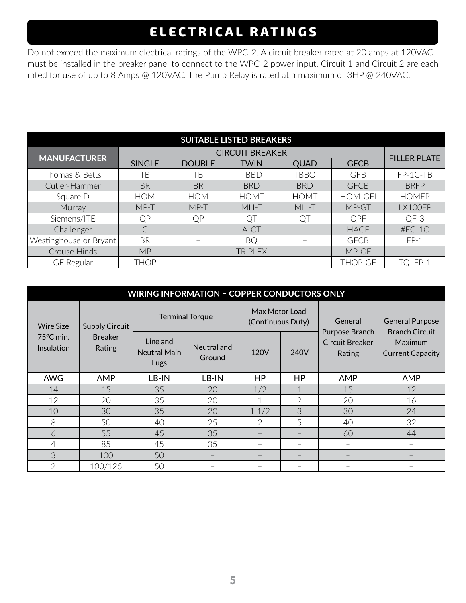## **ELECTRICAL RATINGS**

Do not exceed the maximum electrical ratings of the WPC-2. A circuit breaker rated at 20 amps at 120VAC must be installed in the breaker panel to connect to the WPC-2 power input. Circuit 1 and Circuit 2 are each rated for use of up to 8 Amps @ 120VAC. The Pump Relay is rated at a maximum of 3HP @ 240VAC.

| <b>SUITABLE LISTED BREAKERS</b> |               |               |                |             |                |                          |  |
|---------------------------------|---------------|---------------|----------------|-------------|----------------|--------------------------|--|
| <b>MANUFACTURER</b>             |               |               |                |             |                |                          |  |
|                                 | <b>SINGLE</b> | <b>DOUBLE</b> | <b>TWIN</b>    | <b>QUAD</b> | <b>GFCB</b>    | <b>FILLER PLATE</b>      |  |
| Thomas & Betts                  | ΤB            | TB            | TBBD           | TBBQ        | <b>GFB</b>     | FP-1C-TB                 |  |
| Cutler-Hammer                   | <b>BR</b>     | <b>BR</b>     | <b>BRD</b>     | <b>BRD</b>  | <b>GFCB</b>    | <b>BRFP</b>              |  |
| Square D                        | <b>HOM</b>    | <b>HOM</b>    | <b>HOMT</b>    | <b>HOMT</b> | <b>HOM-GFI</b> | <b>HOMFP</b>             |  |
| Murray                          | $MP-T$        | $MP-T$        | MH-T           | MH-T        | MP-GT          | LX100FP                  |  |
| Siemens/ITE                     | QP            | QP            | QT             | QT          | <b>OPF</b>     | $QF-3$                   |  |
| Challenger                      |               |               | A-CT           |             | <b>HAGF</b>    | $#FC-1C$                 |  |
| Westinghouse or Bryant          | <b>BR</b>     |               | <b>BQ</b>      |             | <b>GFCB</b>    | $FP-1$                   |  |
| Crouse Hinds                    | <b>MP</b>     |               | <b>TRIPLEX</b> |             | MP-GF          | $\overline{\phantom{0}}$ |  |
| <b>GE</b> Regular               | <b>THOP</b>   |               |                |             | <b>THOP-GF</b> | TQLFP-1                  |  |

| <b>WIRING INFORMATION - COPPER CONDUCTORS ONLY</b>    |                                                   |                                         |                       |                                     |                |                                             |                                         |
|-------------------------------------------------------|---------------------------------------------------|-----------------------------------------|-----------------------|-------------------------------------|----------------|---------------------------------------------|-----------------------------------------|
| <b>Wire Size</b><br>$75^{\circ}$ C min.<br>Insulation | <b>Supply Circuit</b><br><b>Breaker</b><br>Rating | <b>Terminal Torque</b>                  |                       | Max Motor Load<br>(Continuous Duty) |                | General                                     | <b>General Purpose</b>                  |
|                                                       |                                                   | Line and<br>Neutral Main<br><b>Lugs</b> | Neutral and<br>Ground | 120V                                | 240V           | Purpose Branch<br>Circuit Breaker<br>Rating | <b>Branch Circuit</b><br><b>Maximum</b> |
| <b>AWG</b>                                            | AMP                                               | LB-IN                                   | LB-IN                 | HP                                  | НP             | <b>AMP</b>                                  | AMP                                     |
| 14                                                    | 15                                                | 35                                      | 20                    | 1/2                                 |                | 15                                          | 12                                      |
| 12                                                    | 20                                                | 35                                      | 20                    | 1                                   | $\overline{2}$ | 20                                          | 16                                      |
| 10                                                    | 30                                                | 35                                      | 20                    | 11/2                                | 3              | 30                                          | 24                                      |
| 8                                                     | 50                                                | 40                                      | 25                    | $\overline{2}$                      | 5              | 40                                          | 32                                      |
| 6                                                     | 55                                                | 45                                      | 35                    |                                     |                | 60                                          | 44                                      |
| $\overline{4}$                                        | 85                                                | 45                                      | 35                    |                                     |                | $\overline{\phantom{0}}$                    |                                         |
| 3                                                     | 100                                               | 50                                      |                       |                                     |                |                                             |                                         |
| $\overline{2}$                                        | 100/125                                           | 50                                      |                       |                                     |                |                                             |                                         |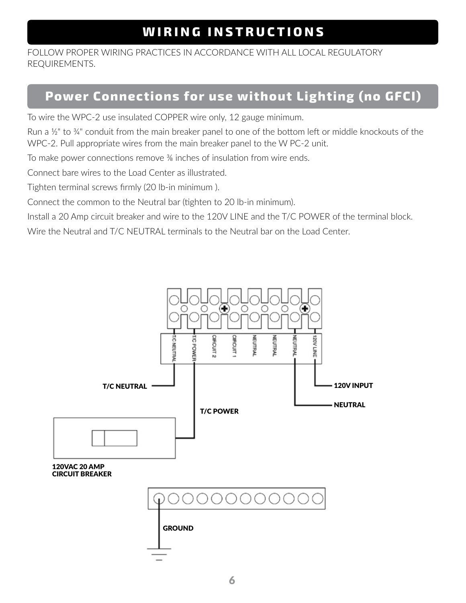## **WIRING INSTRUCTIONS**

FOLLOW PROPER WIRING PRACTICES IN ACCORDANCE WITH ALL LOCAL REGULATORY REQUIREMENTS.

#### **Power Connections for use without Lighting (no GFCI)**

To wire the WPC-2 use insulated COPPER wire only, 12 gauge minimum.

Run a ½" to ¾" conduit from the main breaker panel to one of the bottom left or middle knockouts of the WPC-2. Pull appropriate wires from the main breaker panel to the W PC-2 unit.

To make power connections remove <sup>36</sup> inches of insulation from wire ends.

Connect bare wires to the Load Center as illustrated.

Tighten terminal screws firmly (20 lb-in minimum ).

Connect the common to the Neutral bar (tighten to 20 lb-in minimum).

Install a 20 Amp circuit breaker and wire to the 120V LINE and the T/C POWER of the terminal block.

Wire the Neutral and T/C NEUTRAL terminals to the Neutral bar on the Load Center.

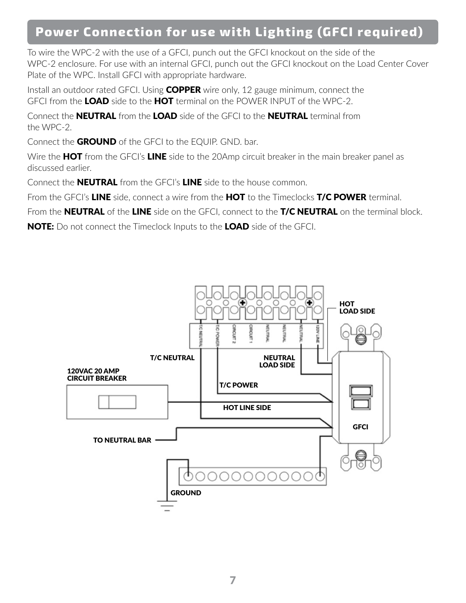#### **Power Connection for use with Lighting (GFCI required)**

To wire the WPC-2 with the use of a GFCI, punch out the GFCI knockout on the side of the WPC-2 enclosure. For use with an internal GFCI, punch out the GFCI knockout on the Load Center Cover Plate of the WPC. Install GFCI with appropriate hardware.

Install an outdoor rated GFCI. Using COPPER wire only, 12 gauge minimum, connect the GFCI from the LOAD side to the HOT terminal on the POWER INPUT of the WPC-2.

Connect the **NEUTRAL** from the LOAD side of the GFCI to the **NEUTRAL** terminal from the WPC-2.

Connect the GROUND of the GFCI to the EQUIP. GND. bar.

Wire the **HOT** from the GFCI's LINE side to the 20Amp circuit breaker in the main breaker panel as discussed earlier.

Connect the **NEUTRAL** from the GFCI's LINE side to the house common.

From the GFCI's LINE side, connect a wire from the HOT to the Timeclocks T/C POWER terminal.

From the **NEUTRAL** of the LINE side on the GFCI, connect to the T/C NEUTRAL on the terminal block.

NOTE: Do not connect the Timeclock Inputs to the LOAD side of the GFCI.

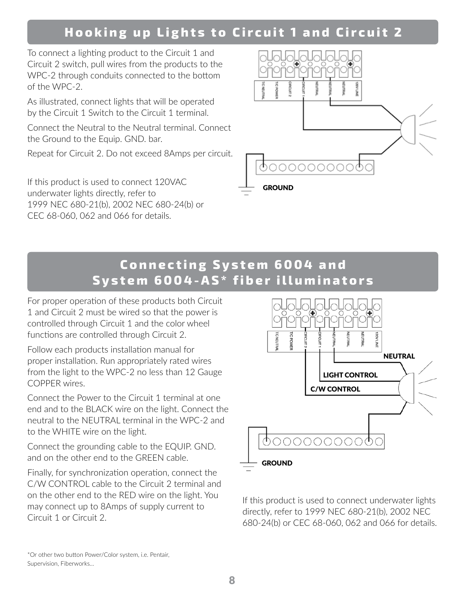## **Hooking up Lights to Circuit 1 and Circuit 2**

To connect a lighting product to the Circuit 1 and Circuit 2 switch, pull wires from the products to the WPC-2 through conduits connected to the bottom of the WPC-2.

As illustrated, connect lights that will be operated by the Circuit 1 Switch to the Circuit 1 terminal.

Connect the Neutral to the Neutral terminal. Connect the Ground to the Equip. GND. bar.

Repeat for Circuit 2. Do not exceed 8Amps per circuit.

If this product is used to connect 120VAC underwater lights directly, refer to 1999 NEC 680-21(b), 2002 NEC 680-24(b) or CEC 68-060, 062 and 066 for details.



#### **Connecting System 6004 and System 6004-AS\* fiber illuminators**

For proper operation of these products both Circuit 1 and Circuit 2 must be wired so that the power is controlled through Circuit 1 and the color wheel functions are controlled through Circuit 2.

Follow each products installation manual for proper installation. Run appropriately rated wires from the light to the WPC-2 no less than 12 Gauge COPPER wires.

Connect the Power to the Circuit 1 terminal at one end and to the BLACK wire on the light. Connect the neutral to the NEUTRAL terminal in the WPC-2 and to the WHITE wire on the light.

Connect the grounding cable to the EQUIP. GND. and on the other end to the GREEN cable.

Finally, for synchronization operation, connect the C/W CONTROL cable to the Circuit 2 terminal and on the other end to the RED wire on the light. You may connect up to 8Amps of supply current to Circuit 1 or Circuit 2.



If this product is used to connect underwater lights directly, refer to 1999 NEC 680-21(b), 2002 NEC 680-24(b) or CEC 68-060, 062 and 066 for details.

\*Or other two button Power/Color system, i.e. Pentair, Supervision, Fiberworks…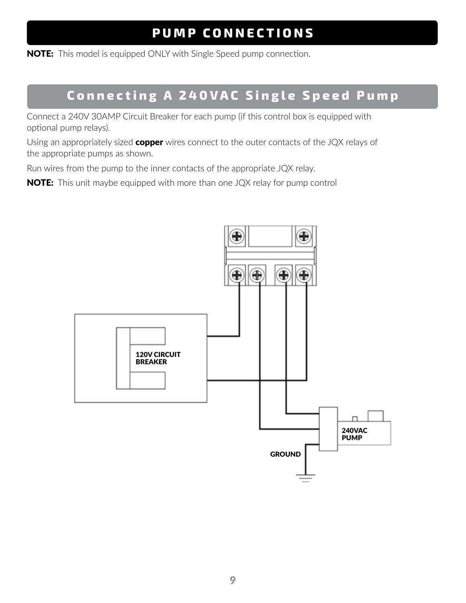## **PUMP CONNECTIONS**

**NOTE:** This model is equipped ONLY with Single Speed pump connection.

## **Connecting A 240VAC Single Speed Pump**

Connect a 240V 30AMP Circuit Breaker for each pump (if this control box is equipped with optional pump relays).

Using an appropriately sized copper wires connect to the outer contacts of the JQX relays of the appropriate pumps as shown.

Run wires from the pump to the inner contacts of the appropriate JQX relay.

**NOTE:** This unit maybe equipped with more than one JQX relay for pump control

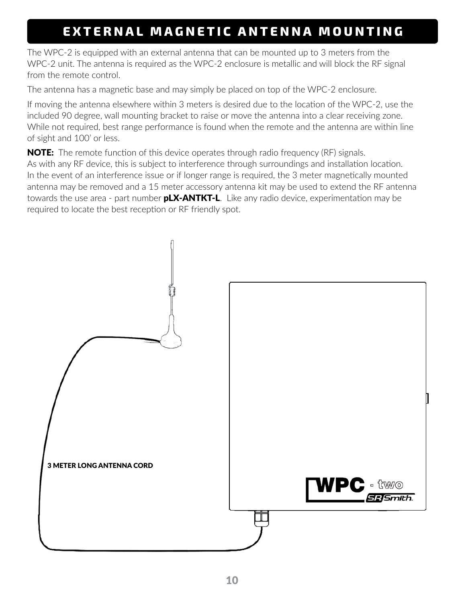## **EXTERNAL MAGNETIC ANTENNA MOUNTING**

The WPC-2 is equipped with an external antenna that can be mounted up to 3 meters from the WPC-2 unit. The antenna is required as the WPC-2 enclosure is metallic and will block the RF signal from the remote control.

The antenna has a magnetic base and may simply be placed on top of the WPC-2 enclosure.

If moving the antenna elsewhere within 3 meters is desired due to the location of the WPC-2, use the included 90 degree, wall mounting bracket to raise or move the antenna into a clear receiving zone. While not required, best range performance is found when the remote and the antenna are within line of sight and 100' or less.

**NOTE:** The remote function of this device operates through radio frequency (RF) signals. As with any RF device, this is subject to interference through surroundings and installation location. In the event of an interference issue or if longer range is required, the 3 meter magnetically mounted antenna may be removed and a 15 meter accessory antenna kit may be used to extend the RF antenna towards the use area - part number **pLX-ANTKT-L**. Like any radio device, experimentation may be required to locate the best reception or RF friendly spot.

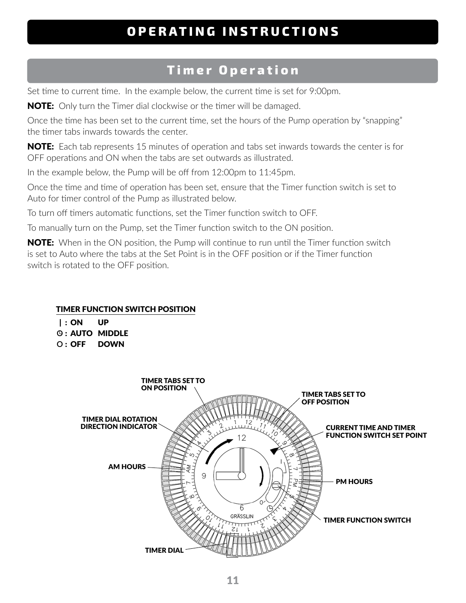#### **OPERATING INSTRUCTIONS**

#### **Timer Operation**

Set time to current time. In the example below, the current time is set for 9:00pm.

**NOTE:** Only turn the Timer dial clockwise or the timer will be damaged.

Once the time has been set to the current time, set the hours of the Pump operation by "snapping" the timer tabs inwards towards the center.

NOTE: Each tab represents 15 minutes of operation and tabs set inwards towards the center is for OFF operations and ON when the tabs are set outwards as illustrated.

In the example below, the Pump will be off from 12:00pm to 11:45pm.

Once the time and time of operation has been set, ensure that the Timer function switch is set to Auto for timer control of the Pump as illustrated below.

To turn off timers automatic functions, set the Timer function switch to OFF.

To manually turn on the Pump, set the Timer function switch to the ON position.

**NOTE:** When in the ON position, the Pump will continue to run until the Timer function switch is set to Auto where the tabs at the Set Point is in the OFF position or if the Timer function switch is rotated to the OFF position.

#### TIMER FUNCTION SWITCH POSITION

|  | $\vert$ : ON | UP                      |
|--|--------------|-------------------------|
|  |              | <b>(9 : AUTO MIDDLE</b> |

**O** : OFF DOWN

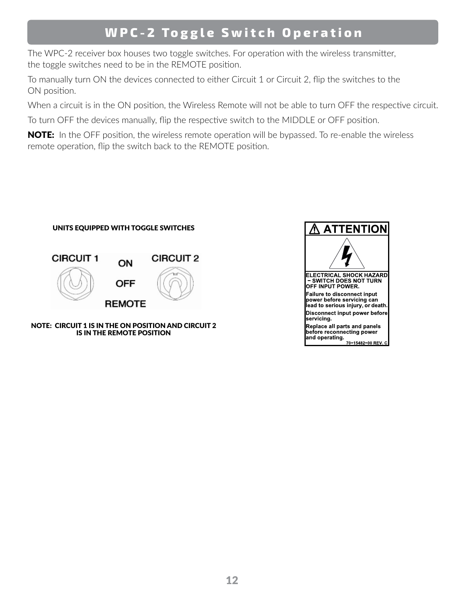#### **WPC-2 Toggle Switch Operation**

The WPC-2 receiver box houses two toggle switches. For operation with the wireless transmitter, the toggle switches need to be in the REMOTE position.

To manually turn ON the devices connected to either Circuit 1 or Circuit 2, flip the switches to the ON position.

When a circuit is in the ON position, the Wireless Remote will not be able to turn OFF the respective circuit.

To turn OFF the devices manually, flip the respective switch to the MIDDLE or OFF position.

NOTE: In the OFF position, the wireless remote operation will be bypassed. To re-enable the wireless remote operation, flip the switch back to the REMOTE position.



NOTE: CIRCUIT 1 IS IN THE ON POSITION AND CIRCUIT 2 IS IN THE REMOTE POSITION

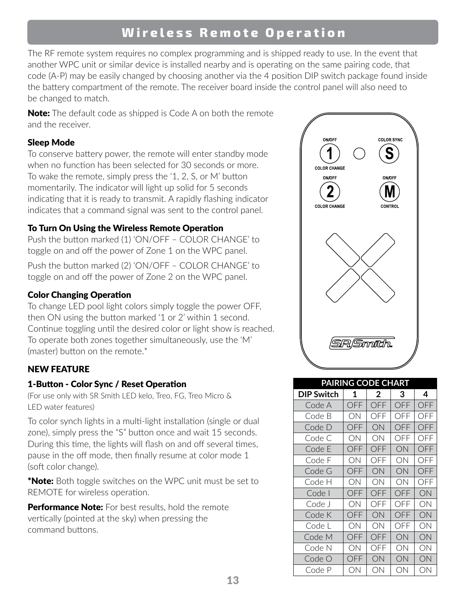#### **Wireless Remote Operation**

The RF remote system requires no complex programming and is shipped ready to use. In the event that another WPC unit or similar device is installed nearby and is operating on the same pairing code, that code (A-P) may be easily changed by choosing another via the 4 position DIP switch package found inside the battery compartment of the remote. The receiver board inside the control panel will also need to be changed to match.

**Note:** The default code as shipped is Code A on both the remote and the receiver.

#### Sleep Mode

To conserve battery power, the remote will enter standby mode when no function has been selected for 30 seconds or more. To wake the remote, simply press the '1, 2, S, or M' button momentarily. The indicator will light up solid for 5 seconds indicating that it is ready to transmit. A rapidly flashing indicator indicates that a command signal was sent to the control panel.

#### To Turn On Using the Wireless Remote Operation

Push the button marked (1) 'ON/OFF – COLOR CHANGE' to toggle on and off the power of Zone 1 on the WPC panel.

Push the button marked (2) 'ON/OFF – COLOR CHANGE' to toggle on and off the power of Zone 2 on the WPC panel.

#### Color Changing Operation

To change LED pool light colors simply toggle the power OFF, then ON using the button marked '1 or 2' within 1 second. Continue toggling until the desired color or light show is reached. To operate both zones together simultaneously, use the 'M' (master) button on the remote.\*

#### NEW FEATURE

#### 1-Button - Color Sync / Reset Operation

(For use only with SR Smith LED kelo, Treo, FG, Treo Micro & LED water features)

To color synch lights in a multi-light installation (single or dual zone), simply press the "S" button once and wait 15 seconds. During this time, the lights will flash on and off several times, pause in the off mode, then finally resume at color mode 1 (soft color change).

**\*Note:** Both toggle switches on the WPC unit must be set to REMOTE for wireless operation.

Performance Note: For best results, hold the remote vertically (pointed at the sky) when pressing the command buttons.



| <b>PAIRING CODE CHART</b> |     |     |     |     |  |  |  |
|---------------------------|-----|-----|-----|-----|--|--|--|
| <b>DIP Switch</b>         | 1   | 2   | 3   | 4   |  |  |  |
| Code A                    | OFF | OFF | OFF | OFF |  |  |  |
| Code B                    | ON  | OFF | OFF | OFF |  |  |  |
| Code D                    | OFF | ON  | OFF | OFF |  |  |  |
| Code C                    | ON  | ОN  | OFF | OFF |  |  |  |
| Code E                    | OFF | OFF | ON  | OFF |  |  |  |
| Code F                    | ON  | OFF | ОN  | OFF |  |  |  |
| Code G                    | OFF | ON  | ON  | OFF |  |  |  |
| Code H                    | ON  | ОN  | ОN  | OFF |  |  |  |
| Code                      | OFF | OFF | OFF | ON  |  |  |  |
| Code J                    | ON  | OFF | OFF | ΟN  |  |  |  |
| Code K                    | OFF | ON  | OFF | ON  |  |  |  |
| Code L                    | ON  | ON  | OFF | ON  |  |  |  |
| Code M                    | OFF | OFF | ON  | ON  |  |  |  |
| Code N                    | ON  | OFF | ON  | ON  |  |  |  |
| Code O                    | OFF | ON  | ON  | ON  |  |  |  |
| Code P                    | ОN  | ON  | ON  | ON  |  |  |  |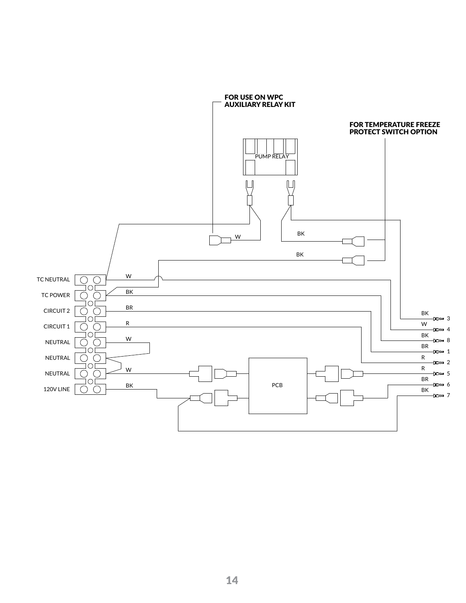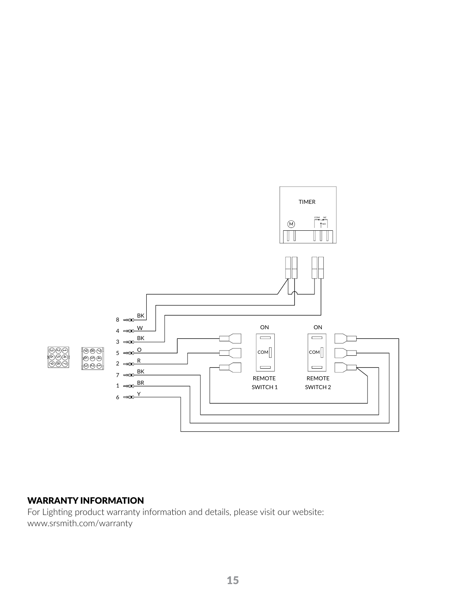

#### WARRANTY INFORMATION

For Lighting product warranty information and details, please visit our website: www.srsmith.com/warranty